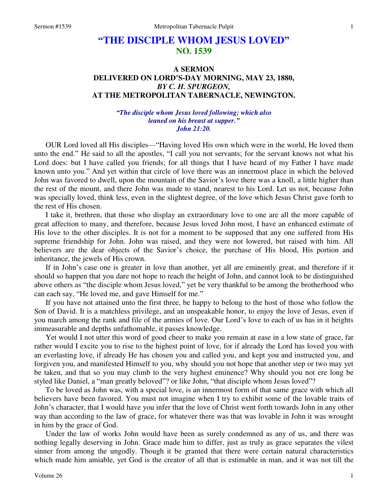# **"THE DISCIPLE WHOM JESUS LOVED" NO. 1539**

## **A SERMON DELIVERED ON LORD'S-DAY MORNING, MAY 23, 1880,**  *BY C. H. SPURGEON,*  **AT THE METROPOLITAN TABERNACLE, NEWINGTON.**

### *"The disciple whom Jesus loved following; which also leaned on his breast at supper." John 21:20.*

OUR Lord loved all His disciples—"Having loved His own which were in the world, He loved them unto the end." He said to all the apostles, "I call you not servants; for the servant knows not what his Lord does: but I have called you friends; for all things that I have heard of my Father I have made known unto you." And yet within that circle of love there was an innermost place in which the beloved John was favored to dwell, upon the mountain of the Savior's love there was a knoll, a little higher than the rest of the mount, and there John was made to stand, nearest to his Lord. Let us not, because John was specially loved, think less, even in the slightest degree, of the love which Jesus Christ gave forth to the rest of His chosen.

 I take it, brethren, that those who display an extraordinary love to one are all the more capable of great affection to many, and therefore, because Jesus loved John most, I have an enhanced estimate of His love to the other disciples. It is not for a moment to be supposed that any one suffered from His supreme friendship for John. John was raised, and they were not lowered, but raised with him. All believers are the dear objects of the Savior's choice, the purchase of His blood, His portion and inheritance, the jewels of His crown.

 If in John's case one is greater in love than another, yet all are eminently great, and therefore if it should so happen that you dare not hope to reach the height of John, and cannot look to be distinguished above others as "the disciple whom Jesus loved," yet be very thankful to be among the brotherhood who can each say, "He loved me, and gave Himself for me."

 If you have not attained unto the first three, be happy to belong to the host of those who follow the Son of David. It is a matchless privilege, and an unspeakable honor, to enjoy the love of Jesus, even if you march among the rank and file of the armies of love. Our Lord's love to each of us has in it heights immeasurable and depths unfathomable, it passes knowledge.

 Yet would I not utter this word of good cheer to make you remain at ease in a low state of grace, far rather would I excite you to rise to the highest point of love, for if already the Lord has loved you with an everlasting love, if already He has chosen you and called you, and kept you and instructed you, and forgiven you, and manifested Himself to you, why should you not hope that another step or two may yet be taken, and that so you may climb to the very highest eminence? Why should you not ere long be styled like Daniel, a "man greatly beloved"? or like John, "that disciple whom Jesus loved"?

 To be loved as John was, with a special love, is an innermost form of that same grace with which all believers have been favored. You must not imagine when I try to exhibit some of the lovable traits of John's character, that I would have you infer that the love of Christ went forth towards John in any other way than according to the law of grace, for whatever there was that was lovable in John it was wrought in him by the grace of God.

 Under the law of works John would have been as surely condemned as any of us, and there was nothing legally deserving in John. Grace made him to differ, just as truly as grace separates the vilest sinner from among the ungodly. Though it be granted that there were certain natural characteristics which made him amiable, yet God is the creator of all that is estimable in man, and it was not till the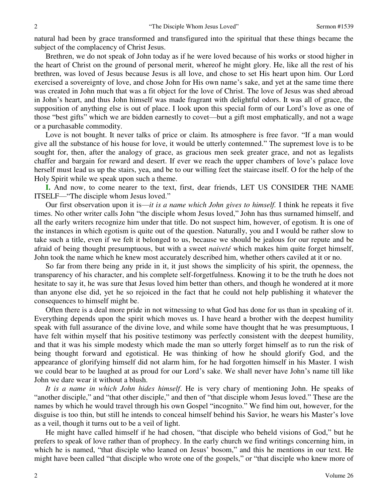natural had been by grace transformed and transfigured into the spiritual that these things became the subject of the complacency of Christ Jesus.

 Brethren, we do not speak of John today as if he were loved because of his works or stood higher in the heart of Christ on the ground of personal merit, whereof he might glory. He, like all the rest of his brethren, was loved of Jesus because Jesus is all love, and chose to set His heart upon him. Our Lord exercised a sovereignty of love, and chose John for His own name's sake, and yet at the same time there was created in John much that was a fit object for the love of Christ. The love of Jesus was shed abroad in John's heart, and thus John himself was made fragrant with delightful odors. It was all of grace, the supposition of anything else is out of place. I look upon this special form of our Lord's love as one of those "best gifts" which we are bidden earnestly to covet—but a gift most emphatically, and not a wage or a purchasable commodity.

 Love is not bought. It never talks of price or claim. Its atmosphere is free favor. "If a man would give all the substance of his house for love, it would be utterly contemned." The supremest love is to be sought for, then, after the analogy of grace, as gracious men seek greater grace, and not as legalists chaffer and bargain for reward and desert. If ever we reach the upper chambers of love's palace love herself must lead us up the stairs, yea, and be to our willing feet the staircase itself. O for the help of the Holy Spirit while we speak upon such a theme.

**I.** And now, to come nearer to the text, first, dear friends, LET US CONSIDER THE NAME ITSELF—"The disciple whom Jesus loved."

 Our first observation upon it is—*it is a name which John gives to himself.* I think he repeats it five times. No other writer calls John "the disciple whom Jesus loved," John has thus surnamed himself, and all the early writers recognize him under that title. Do not suspect him, however, of egotism. It is one of the instances in which egotism is quite out of the question. Naturally, you and I would be rather slow to take such a title, even if we felt it belonged to us, because we should be jealous for our repute and be afraid of being thought presumptuous, but with a sweet *naiveté* which makes him quite forget himself, John took the name which he knew most accurately described him, whether others caviled at it or no.

 So far from there being any pride in it, it just shows the simplicity of his spirit, the openness, the transparency of his character, and his complete self-forgetfulness. Knowing it to be the truth he does not hesitate to say it, he was sure that Jesus loved him better than others, and though he wondered at it more than anyone else did, yet he so rejoiced in the fact that he could not help publishing it whatever the consequences to himself might be.

 Often there is a deal more pride in not witnessing to what God has done for us than in speaking of it. Everything depends upon the spirit which moves us. I have heard a brother with the deepest humility speak with full assurance of the divine love, and while some have thought that he was presumptuous, I have felt within myself that his positive testimony was perfectly consistent with the deepest humility, and that it was his simple modesty which made the man so utterly forget himself as to run the risk of being thought forward and egotistical. He was thinking of how he should glorify God, and the appearance of glorifying himself did not alarm him, for he had forgotten himself in his Master. I wish we could bear to be laughed at as proud for our Lord's sake. We shall never have John's name till like John we dare wear it without a blush.

*It is a name in which John hides himself*. He is very chary of mentioning John. He speaks of "another disciple," and "that other disciple," and then of "that disciple whom Jesus loved." These are the names by which he would travel through his own Gospel "incognito." We find him out, however, for the disguise is too thin, but still he intends to conceal himself behind his Savior, he wears his Master's love as a veil, though it turns out to be a veil of light.

 He might have called himself if he had chosen, "that disciple who beheld visions of God," but he prefers to speak of love rather than of prophecy. In the early church we find writings concerning him, in which he is named, "that disciple who leaned on Jesus' bosom," and this he mentions in our text. He might have been called "that disciple who wrote one of the gospels," or "that disciple who knew more of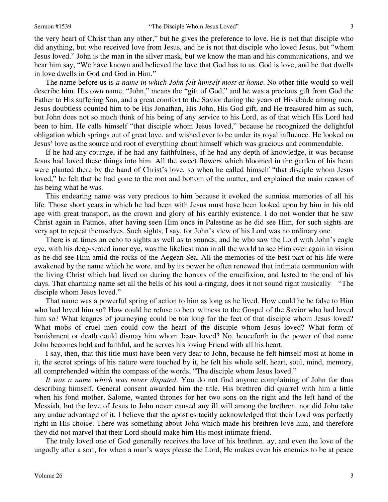the very heart of Christ than any other," but he gives the preference to love. He is not that disciple who did anything, but who received love from Jesus, and he is not that disciple who loved Jesus, but "whom Jesus loved." John is the man in the silver mask, but we know the man and his communications, and we hear him say, "We have known and believed the love that God has to us. God is love, and he that dwells in love dwells in God and God in Him."

 The name before us is *a name in which John felt himself most at home*. No other title would so well describe him. His own name, "John," means the "gift of God," and he was a precious gift from God the Father to His suffering Son, and a great comfort to the Savior during the years of His abode among men. Jesus doubtless counted him to be His Jonathan, His John, His God gift, and He treasured him as such, but John does not so much think of his being of any service to his Lord, as of that which His Lord had been to him. He calls himself "that disciple whom Jesus loved," because he recognized the delightful obligation which springs out of great love, and wished ever to be under its royal influence. He looked on Jesus' love as the source and root of everything about himself which was gracious and commendable.

 If he had any courage, if he had any faithfulness, if he had any depth of knowledge, it was because Jesus had loved these things into him. All the sweet flowers which bloomed in the garden of his heart were planted there by the hand of Christ's love, so when he called himself "that disciple whom Jesus loved," he felt that he had gone to the root and bottom of the matter, and explained the main reason of his being what he was.

 This endearing name was very precious to him because it evoked the sunniest memories of all his life. Those short years in which he had been with Jesus must have been looked upon by him in his old age with great transport, as the crown and glory of his earthly existence. I do not wonder that he saw Christ again in Patmos, after having seen Him once in Palestine as he did see Him, for such sights are very apt to repeat themselves. Such sights, I say, for John's view of his Lord was no ordinary one.

 There is at times an echo to sights as well as to sounds, and he who saw the Lord with John's eagle eye, with his deep-seated inner eye, was the likeliest man in all the world to see Him over again in vision as he did see Him amid the rocks of the Aegean Sea. All the memories of the best part of his life were awakened by the name which he wore, and by its power he often renewed that intimate communion with the living Christ which had lived on during the horrors of the crucifixion, and lasted to the end of his days. That charming name set all the bells of his soul a-ringing, does it not sound right musically—"The disciple whom Jesus loved."

 That name was a powerful spring of action to him as long as he lived. How could he be false to Him who had loved him so? How could he refuse to bear witness to the Gospel of the Savior who had loved him so? What leagues of journeying could be too long for the feet of that disciple whom Jesus loved? What mobs of cruel men could cow the heart of the disciple whom Jesus loved? What form of banishment or death could dismay him whom Jesus loved? No, henceforth in the power of that name John becomes bold and faithful, and he serves his loving Friend with all his heart.

 I say, then, that this title must have been very dear to John, because he felt himself most at home in it, the secret springs of his nature were touched by it, he felt his whole self, heart, soul, mind, memory, all comprehended within the compass of the words, "The disciple whom Jesus loved."

*It was a name which was never disputed*. You do not find anyone complaining of John for thus describing himself. General consent awarded him the title. His brethren did quarrel with him a little when his fond mother, Salome, wanted thrones for her two sons on the right and the left hand of the Messiah, but the love of Jesus to John never caused any ill will among the brethren, nor did John take any undue advantage of it. I believe that the apostles tacitly acknowledged that their Lord was perfectly right in His choice. There was something about John which made his brethren love him, and therefore they did not marvel that their Lord should make him His most intimate friend.

 The truly loved one of God generally receives the love of his brethren. ay, and even the love of the ungodly after a sort, for when a man's ways please the Lord, He makes even his enemies to be at peace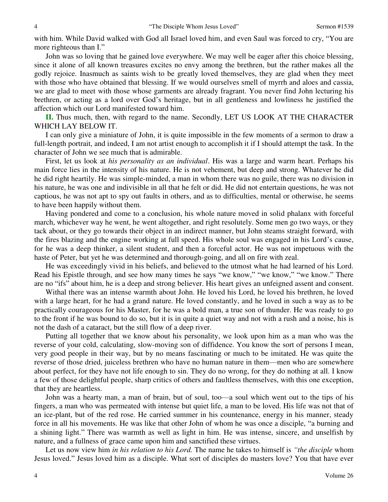with him. While David walked with God all Israel loved him, and even Saul was forced to cry, "You are more righteous than I."

 John was so loving that he gained love everywhere. We may well be eager after this choice blessing, since it alone of all known treasures excites no envy among the brethren, but the rather makes all the godly rejoice. Inasmuch as saints wish to be greatly loved themselves, they are glad when they meet with those who have obtained that blessing. If we would ourselves smell of myrrh and aloes and cassia, we are glad to meet with those whose garments are already fragrant. You never find John lecturing his brethren, or acting as a lord over God's heritage, but in all gentleness and lowliness he justified the affection which our Lord manifested toward him.

 **II.** Thus much, then, with regard to the name. Secondly, LET US LOOK AT THE CHARACTER WHICH LAY BELOW IT.

 I can only give a miniature of John, it is quite impossible in the few moments of a sermon to draw a full-length portrait, and indeed, I am not artist enough to accomplish it if I should attempt the task. In the character of John we see much that is admirable.

 First, let us look at *his personality as an individual*. His was a large and warm heart. Perhaps his main force lies in the intensity of his nature. He is not vehement, but deep and strong. Whatever he did he did right heartily. He was simple-minded, a man in whom there was no guile, there was no division in his nature, he was one and indivisible in all that he felt or did. He did not entertain questions, he was not captious, he was not apt to spy out faults in others, and as to difficulties, mental or otherwise, he seems to have been happily without them.

 Having pondered and come to a conclusion, his whole nature moved in solid phalanx with forceful march, whichever way he went, he went altogether, and right resolutely. Some men go two ways, or they tack about, or they go towards their object in an indirect manner, but John steams straight forward, with the fires blazing and the engine working at full speed. His whole soul was engaged in his Lord's cause, for he was a deep thinker, a silent student, and then a forceful actor. He was not impetuous with the haste of Peter, but yet he was determined and thorough-going, and all on fire with zeal.

 He was exceedingly vivid in his beliefs, and believed to the utmost what he had learned of his Lord. Read his Epistle through, and see how many times he says "we know," "we know," "we know." There are no "ifs" about him, he is a deep and strong believer. His heart gives an unfeigned assent and consent.

 Withal there was an intense warmth about John. He loved his Lord, he loved his brethren, he loved with a large heart, for he had a grand nature. He loved constantly, and he loved in such a way as to be practically courageous for his Master, for he was a bold man, a true son of thunder. He was ready to go to the front if he was bound to do so, but it is in quite a quiet way and not with a rush and a noise, his is not the dash of a cataract, but the still flow of a deep river.

 Putting all together that we know about his personality, we look upon him as a man who was the reverse of your cold, calculating, slow-moving son of diffidence. You know the sort of persons I mean, very good people in their way, but by no means fascinating or much to be imitated. He was quite the reverse of those dried, juiceless brethren who have no human nature in them—men who are somewhere about perfect, for they have not life enough to sin. They do no wrong, for they do nothing at all. I know a few of those delightful people, sharp critics of others and faultless themselves, with this one exception, that they are heartless.

 John was a hearty man, a man of brain, but of soul, too—a soul which went out to the tips of his fingers, a man who was permeated with intense but quiet life, a man to be loved. His life was not that of an ice-plant, but of the red rose. He carried summer in his countenance, energy in his manner, steady force in all his movements. He was like that other John of whom he was once a disciple, "a burning and a shining light." There was warmth as well as light in him. He was intense, sincere, and unselfish by nature, and a fullness of grace came upon him and sanctified these virtues.

 Let us now view him *in his relation to his Lord.* The name he takes to himself is *"the disciple* whom Jesus loved." Jesus loved him as a disciple. What sort of disciples do masters love? You that have ever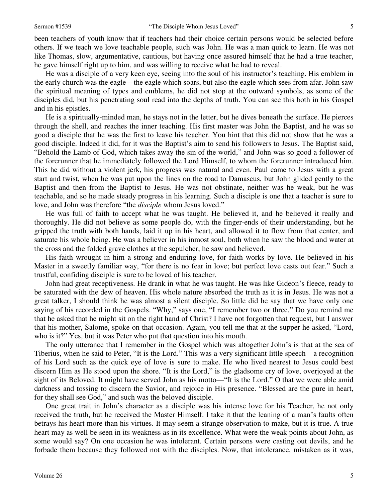been teachers of youth know that if teachers had their choice certain persons would be selected before others. If we teach we love teachable people, such was John. He was a man quick to learn. He was not like Thomas, slow, argumentative, cautious, but having once assured himself that he had a true teacher, he gave himself right up to him, and was willing to receive what he had to reveal.

 He was a disciple of a very keen eye, seeing into the soul of his instructor's teaching. His emblem in the early church was the eagle—the eagle which soars, but also the eagle which sees from afar. John saw the spiritual meaning of types and emblems, he did not stop at the outward symbols, as some of the disciples did, but his penetrating soul read into the depths of truth. You can see this both in his Gospel and in his epistles.

 He is a spiritually-minded man, he stays not in the letter, but he dives beneath the surface. He pierces through the shell, and reaches the inner teaching. His first master was John the Baptist, and he was so good a disciple that he was the first to leave his teacher. You hint that this did not show that he was a good disciple. Indeed it did, for it was the Baptist's aim to send his followers to Jesus. The Baptist said, "Behold the Lamb of God, which takes away the sin of the world," and John was so good a follower of the forerunner that he immediately followed the Lord Himself, to whom the forerunner introduced him. This he did without a violent jerk, his progress was natural and even. Paul came to Jesus with a great start and twist, when he was put upon the lines on the road to Damascus, but John glided gently to the Baptist and then from the Baptist to Jesus. He was not obstinate, neither was he weak, but he was teachable, and so he made steady progress in his learning. Such a disciple is one that a teacher is sure to love, and John was therefore "the *disciple* whom Jesus loved."

 He was full of faith to accept what he was taught. He believed it, and he believed it really and thoroughly. He did not believe as some people do, with the finger-ends of their understanding, but he gripped the truth with both hands, laid it up in his heart, and allowed it to flow from that center, and saturate his whole being. He was a believer in his inmost soul, both when he saw the blood and water at the cross and the folded grave clothes at the sepulcher, he saw and believed.

 His faith wrought in him a strong and enduring love, for faith works by love. He believed in his Master in a sweetly familiar way, "for there is no fear in love; but perfect love casts out fear." Such a trustful, confiding disciple is sure to be loved of his teacher.

 John had great receptiveness. He drank in what he was taught. He was like Gideon's fleece, ready to be saturated with the dew of heaven. His whole nature absorbed the truth as it is in Jesus. He was not a great talker, I should think he was almost a silent disciple. So little did he say that we have only one saying of his recorded in the Gospels. "Why," says one, "I remember two or three." Do you remind me that he asked that he might sit on the right hand of Christ? I have not forgotten that request, but I answer that his mother, Salome, spoke on that occasion. Again, you tell me that at the supper he asked, "Lord, who is it?" Yes, but it was Peter who put that question into his mouth.

 The only utterance that I remember in the Gospel which was altogether John's is that at the sea of Tiberius, when he said to Peter, "It is the Lord." This was a very significant little speech—a recognition of his Lord such as the quick eye of love is sure to make. He who lived nearest to Jesus could best discern Him as He stood upon the shore. "It is the Lord," is the gladsome cry of love, overjoyed at the sight of its Beloved. It might have served John as his motto—"It is the Lord." O that we were able amid darkness and tossing to discern the Savior, and rejoice in His presence. "Blessed are the pure in heart, for they shall see God," and such was the beloved disciple.

 One great trait in John's character as a disciple was his intense love for his Teacher, he not only received the truth, but he received the Master Himself. I take it that the leaning of a man's faults often betrays his heart more than his virtues. It may seem a strange observation to make, but it is true. A true heart may as well be seen in its weakness as in its excellence. What were the weak points about John, as some would say? On one occasion he was intolerant. Certain persons were casting out devils, and he forbade them because they followed not with the disciples. Now, that intolerance, mistaken as it was,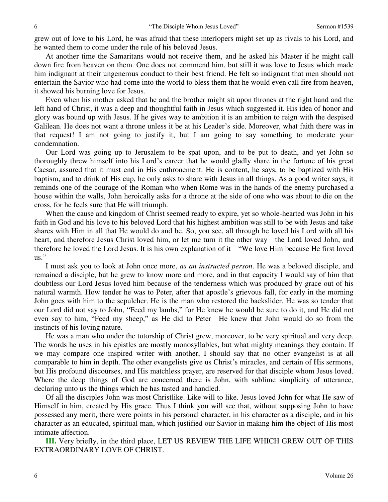grew out of love to his Lord, he was afraid that these interlopers might set up as rivals to his Lord, and he wanted them to come under the rule of his beloved Jesus.

 At another time the Samaritans would not receive them, and he asked his Master if he might call down fire from heaven on them. One does not commend him, but still it was love to Jesus which made him indignant at their ungenerous conduct to their best friend. He felt so indignant that men should not entertain the Savior who had come into the world to bless them that he would even call fire from heaven, it showed his burning love for Jesus.

 Even when his mother asked that he and the brother might sit upon thrones at the right hand and the left hand of Christ, it was a deep and thoughtful faith in Jesus which suggested it. His idea of honor and glory was bound up with Jesus. If he gives way to ambition it is an ambition to reign with the despised Galilean. He does not want a throne unless it be at his Leader's side. Moreover, what faith there was in that request! I am not going to justify it, but I am going to say something to moderate your condemnation.

 Our Lord was going up to Jerusalem to be spat upon, and to be put to death, and yet John so thoroughly threw himself into his Lord's career that he would gladly share in the fortune of his great Caesar, assured that it must end in His enthronement. He is content, he says, to be baptized with His baptism, and to drink of His cup, he only asks to share with Jesus in all things. As a good writer says, it reminds one of the courage of the Roman who when Rome was in the hands of the enemy purchased a house within the walls, John heroically asks for a throne at the side of one who was about to die on the cross, for he feels sure that He will triumph.

 When the cause and kingdom of Christ seemed ready to expire, yet so whole-hearted was John in his faith in God and his love to his beloved Lord that his highest ambition was still to be with Jesus and take shares with Him in all that He would do and be. So, you see, all through he loved his Lord with all his heart, and therefore Jesus Christ loved him, or let me turn it the other way—the Lord loved John, and therefore he loved the Lord Jesus. It is his own explanation of it—"We love Him because He first loved us."

 I must ask you to look at John once more, *as an instructed person*. He was a beloved disciple, and remained a disciple, but he grew to know more and more, and in that capacity I would say of him that doubtless our Lord Jesus loved him because of the tenderness which was produced by grace out of his natural warmth. How tender he was to Peter, after that apostle's grievous fall, for early in the morning John goes with him to the sepulcher. He is the man who restored the backslider. He was so tender that our Lord did not say to John, "Feed my lambs," for He knew he would be sure to do it, and He did not even say to him, "Feed my sheep," as He did to Peter—He knew that John would do so from the instincts of his loving nature.

 He was a man who under the tutorship of Christ grew, moreover, to be very spiritual and very deep. The words he uses in his epistles are mostly monosyllables, but what mighty meanings they contain. If we may compare one inspired writer with another, I should say that no other evangelist is at all comparable to him in depth. The other evangelists give us Christ's miracles, and certain of His sermons, but His profound discourses, and His matchless prayer, are reserved for that disciple whom Jesus loved. Where the deep things of God are concerned there is John, with sublime simplicity of utterance, declaring unto us the things which he has tasted and handled.

 Of all the disciples John was most Christlike. Like will to like. Jesus loved John for what He saw of Himself in him, created by His grace. Thus I think you will see that, without supposing John to have possessed any merit, there were points in his personal character, in his character as a disciple, and in his character as an educated, spiritual man, which justified our Savior in making him the object of His most intimate affection.

**III.** Very briefly, in the third place, LET US REVIEW THE LIFE WHICH GREW OUT OF THIS EXTRAORDINARY LOVE OF CHRIST.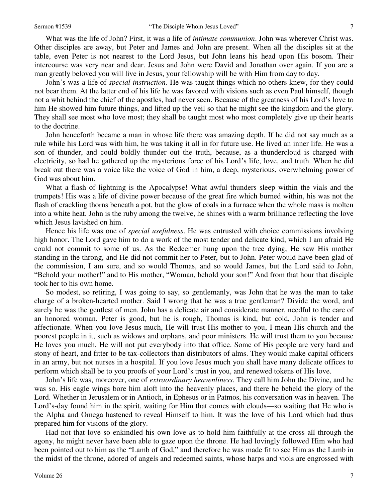What was the life of John? First, it was a life of *intimate communion*. John was wherever Christ was. Other disciples are away, but Peter and James and John are present. When all the disciples sit at the table, even Peter is not nearest to the Lord Jesus, but John leans his head upon His bosom. Their intercourse was very near and dear. Jesus and John were David and Jonathan over again. If you are a man greatly beloved you will live in Jesus, your fellowship will be with Him from day to day.

 John's was a life of *special instruction*. He was taught things which no others knew, for they could not bear them. At the latter end of his life he was favored with visions such as even Paul himself, though not a whit behind the chief of the apostles, had never seen. Because of the greatness of his Lord's love to him He showed him future things, and lifted up the veil so that he might see the kingdom and the glory. They shall see most who love most; they shall be taught most who most completely give up their hearts to the doctrine.

 John henceforth became a man in whose life there was amazing depth. If he did not say much as a rule while his Lord was with him, he was taking it all in for future use. He lived an inner life. He was a son of thunder, and could boldly thunder out the truth, because, as a thundercloud is charged with electricity, so had he gathered up the mysterious force of his Lord's life, love, and truth. When he did break out there was a voice like the voice of God in him, a deep, mysterious, overwhelming power of God was about him.

 What a flash of lightning is the Apocalypse! What awful thunders sleep within the vials and the trumpets! His was a life of divine power because of the great fire which burned within, his was not the flash of crackling thorns beneath a pot, but the glow of coals in a furnace when the whole mass is molten into a white heat. John is the ruby among the twelve, he shines with a warm brilliance reflecting the love which Jesus lavished on him.

 Hence his life was one of *special usefulness*. He was entrusted with choice commissions involving high honor. The Lord gave him to do a work of the most tender and delicate kind, which I am afraid He could not commit to some of us. As the Redeemer hung upon the tree dying, He saw His mother standing in the throng, and He did not commit her to Peter, but to John. Peter would have been glad of the commission, I am sure, and so would Thomas, and so would James, but the Lord said to John, "Behold your mother!" and to His mother, "Woman, behold your son!" And from that hour that disciple took her to his own home.

 So modest, so retiring, I was going to say, so gentlemanly, was John that he was the man to take charge of a broken-hearted mother. Said I wrong that he was a true gentleman? Divide the word, and surely he was the gentlest of men. John has a delicate air and considerate manner, needful to the care of an honored woman. Peter is good, but he is rough, Thomas is kind, but cold, John is tender and affectionate. When you love Jesus much, He will trust His mother to you, I mean His church and the poorest people in it, such as widows and orphans, and poor ministers. He will trust them to you because He loves you much. He will not put everybody into that office. Some of His people are very hard and stony of heart, and fitter to be tax-collectors than distributors of alms. They would make capital officers in an army, but not nurses in a hospital. If you love Jesus much you shall have many delicate offices to perform which shall be to you proofs of your Lord's trust in you, and renewed tokens of His love.

 John's life was, moreover, one of *extraordinary heavenliness*. They call him John the Divine, and he was so. His eagle wings bore him aloft into the heavenly places, and there he beheld the glory of the Lord. Whether in Jerusalem or in Antioch, in Ephesus or in Patmos, his conversation was in heaven. The Lord's-day found him in the spirit, waiting for Him that comes with clouds—so waiting that He who is the Alpha and Omega hastened to reveal Himself to him. It was the love of his Lord which had thus prepared him for visions of the glory.

 Had not that love so enkindled his own love as to hold him faithfully at the cross all through the agony, he might never have been able to gaze upon the throne. He had lovingly followed Him who had been pointed out to him as the "Lamb of God," and therefore he was made fit to see Him as the Lamb in the midst of the throne, adored of angels and redeemed saints, whose harps and viols are engrossed with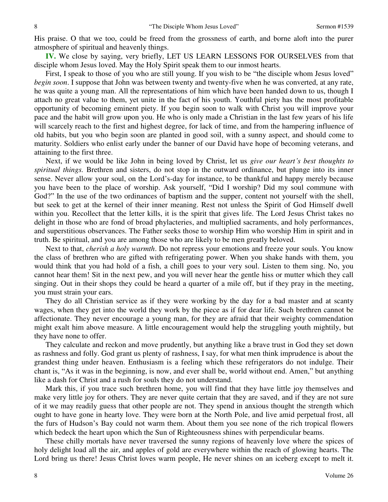His praise. O that we too, could be freed from the grossness of earth, and borne aloft into the purer atmosphere of spiritual and heavenly things.

**IV.** We close by saying, very briefly, LET US LEARN LESSONS FOR OURSELVES from that disciple whom Jesus loved. May the Holy Spirit speak them to our inmost hearts.

 First, I speak to those of you who are still young. If you wish to be "the disciple whom Jesus loved" *begin soon*. I suppose that John was between twenty and twenty-five when he was converted, at any rate, he was quite a young man. All the representations of him which have been handed down to us, though I attach no great value to them, yet unite in the fact of his youth. Youthful piety has the most profitable opportunity of becoming eminent piety. If you begin soon to walk with Christ you will improve your pace and the habit will grow upon you. He who is only made a Christian in the last few years of his life will scarcely reach to the first and highest degree, for lack of time, and from the hampering influence of old habits, but you who begin soon are planted in good soil, with a sunny aspect, and should come to maturity. Soldiers who enlist early under the banner of our David have hope of becoming veterans, and attaining to the first three.

 Next, if we would be like John in being loved by Christ, let us *give our heart's best thoughts to spiritual things.* Brethren and sisters, do not stop in the outward ordinance, but plunge into its inner sense. Never allow your soul, on the Lord's-day for instance, to be thankful and happy merely because you have been to the place of worship. Ask yourself, "Did I worship? Did my soul commune with God?" In the use of the two ordinances of baptism and the supper, content not yourself with the shell, but seek to get at the kernel of their inner meaning. Rest not unless the Spirit of God Himself dwell within you. Recollect that the letter kills, it is the spirit that gives life. The Lord Jesus Christ takes no delight in those who are fond of broad phylacteries, and multiplied sacraments, and holy performances, and superstitious observances. The Father seeks those to worship Him who worship Him in spirit and in truth. Be spiritual, and you are among those who are likely to be men greatly beloved.

 Next to that, *cherish a holy warmth*. Do not repress your emotions and freeze your souls. You know the class of brethren who are gifted with refrigerating power. When you shake hands with them, you would think that you had hold of a fish, a chill goes to your very soul. Listen to them sing. No, you cannot hear them! Sit in the next pew, and you will never hear the gentle hiss or mutter which they call singing. Out in their shops they could be heard a quarter of a mile off, but if they pray in the meeting, you must strain your ears.

 They do all Christian service as if they were working by the day for a bad master and at scanty wages, when they get into the world they work by the piece as if for dear life. Such brethren cannot be affectionate. They never encourage a young man, for they are afraid that their weighty commendation might exalt him above measure. A little encouragement would help the struggling youth mightily, but they have none to offer.

 They calculate and reckon and move prudently, but anything like a brave trust in God they set down as rashness and folly. God grant us plenty of rashness, I say, for what men think imprudence is about the grandest thing under heaven. Enthusiasm is a feeling which these refrigerators do not indulge. Their chant is, "As it was in the beginning, is now, and ever shall be, world without end. Amen," but anything like a dash for Christ and a rush for souls they do not understand.

 Mark this, if you trace such brethren home, you will find that they have little joy themselves and make very little joy for others. They are never quite certain that they are saved, and if they are not sure of it we may readily guess that other people are not. They spend in anxious thought the strength which ought to have gone in hearty love. They were born at the North Pole, and live amid perpetual frost, all the furs of Hudson's Bay could not warm them. About them you see none of the rich tropical flowers which bedeck the heart upon which the Sun of Righteousness shines with perpendicular beams.

 These chilly mortals have never traversed the sunny regions of heavenly love where the spices of holy delight load all the air, and apples of gold are everywhere within the reach of glowing hearts. The Lord bring us there! Jesus Christ loves warm people, He never shines on an iceberg except to melt it.